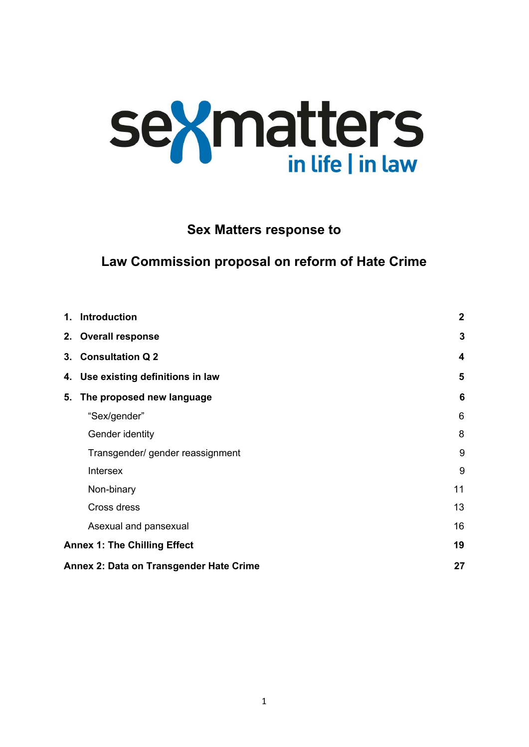# **sexmatters**

#### **Sex Matters response to**

### **Law Commission proposal on reform of Hate Crime**

|                                         | 1. Introduction                    | $\overline{2}$ |
|-----------------------------------------|------------------------------------|----------------|
|                                         | 2. Overall response                | 3              |
|                                         | 3. Consultation Q 2                | 4              |
|                                         | 4. Use existing definitions in law | 5              |
| 5.                                      | The proposed new language          | 6              |
|                                         | "Sex/gender"                       | 6              |
|                                         | Gender identity                    | 8              |
|                                         | Transgender/ gender reassignment   | 9              |
|                                         | Intersex                           | 9              |
|                                         | Non-binary                         | 11             |
|                                         | Cross dress                        | 13             |
|                                         | Asexual and pansexual              | 16             |
| <b>Annex 1: The Chilling Effect</b>     |                                    | 19             |
| Annex 2: Data on Transgender Hate Crime |                                    | 27             |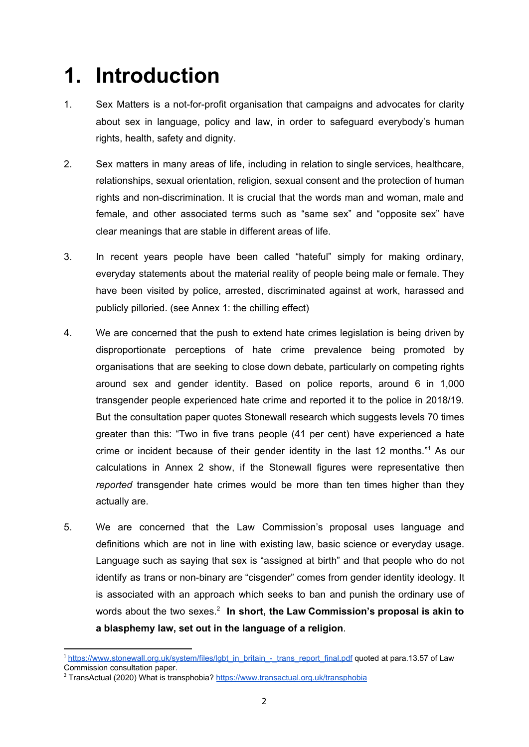# <span id="page-1-0"></span>**1. Introduction**

- 1. Sex Matters is a not-for-profit organisation that campaigns and advocates for clarity about sex in language, policy and law, in order to safeguard everybody's human rights, health, safety and dignity.
- 2. Sex matters in many areas of life, including in relation to single services, healthcare, relationships, sexual orientation, religion, sexual consent and the protection of human rights and non-discrimination. It is crucial that the words man and woman, male and female, and other associated terms such as "same sex" and "opposite sex" have clear meanings that are stable in different areas of life.
- 3. In recent years people have been called "hateful" simply for making ordinary, everyday statements about the material reality of people being male or female. They have been visited by police, arrested, discriminated against at work, harassed and publicly pilloried. (see Annex 1: the chilling effect)
- 4. We are concerned that the push to extend hate crimes legislation is being driven by disproportionate perceptions of hate crime prevalence being promoted by organisations that are seeking to close down debate, particularly on competing rights around sex and gender identity. Based on police reports, around 6 in 1,000 transgender people experienced hate crime and reported it to the police in 2018/19. But the consultation paper quotes Stonewall research which suggests levels 70 times greater than this: "Two in five trans people (41 per cent) have experienced a hate crime or incident because of their gender identity in the last 12 months."<sup>1</sup> As our calculations in Annex 2 show, if the Stonewall figures were representative then *reported* transgender hate crimes would be more than ten times higher than they actually are.
- 5. We are concerned that the Law Commission's proposal uses language and definitions which are not in line with existing law, basic science or everyday usage. Language such as saying that sex is "assigned at birth" and that people who do not identify as trans or non-binary are "cisgender" comes from gender identity ideology. It is associated with an approach which seeks to ban and punish the ordinary use of words about the two sexes. 2 **In short, the Law Commission's proposal is akin to a blasphemy law, set out in the language of a religion**.

<sup>&</sup>lt;sup>1</sup> [https://www.stonewall.org.uk/system/files/lgbt\\_in\\_britain\\_-\\_trans\\_report\\_final.pdf](https://www.stonewall.org.uk/system/files/lgbt_in_britain_-_trans_report_final.pdf) quoted at para.13.57 of Law Commission consultation paper.

<sup>&</sup>lt;sup>2</sup> TransActual (2020) What is transphobia? <https://www.transactual.org.uk/transphobia>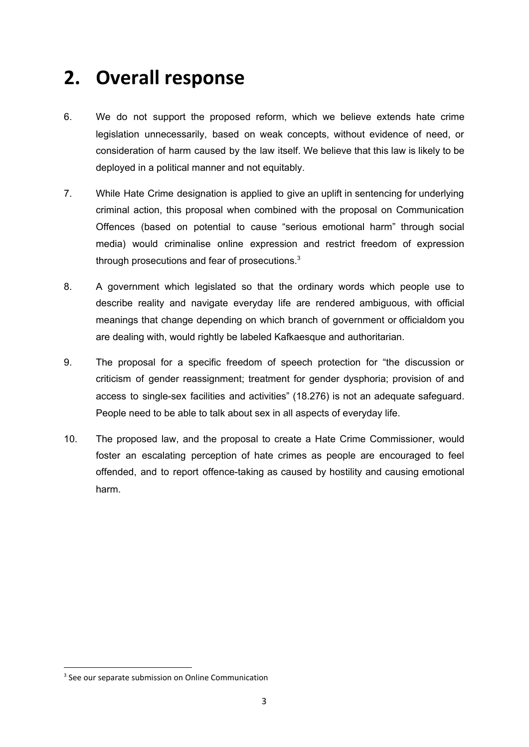## <span id="page-2-0"></span>**2. Overall response**

- 6. We do not support the proposed reform, which we believe extends hate crime legislation unnecessarily, based on weak concepts, without evidence of need, or consideration of harm caused by the law itself. We believe that this law is likely to be deployed in a political manner and not equitably.
- 7. While Hate Crime designation is applied to give an uplift in sentencing for underlying criminal action, this proposal when combined with the proposal on Communication Offences (based on potential to cause "serious emotional harm" through social media) would criminalise online expression and restrict freedom of expression through prosecutions and fear of prosecutions. $3$
- 8. A government which legislated so that the ordinary words which people use to describe reality and navigate everyday life are rendered ambiguous, with official meanings that change depending on which branch of government or officialdom you are dealing with, would rightly be labeled Kafkaesque and authoritarian.
- 9. The proposal for a specific freedom of speech protection for "the discussion or criticism of gender reassignment; treatment for gender dysphoria; provision of and access to single-sex facilities and activities" (18.276) is not an adequate safeguard. People need to be able to talk about sex in all aspects of everyday life.
- 10. The proposed law, and the proposal to create a Hate Crime Commissioner, would foster an escalating perception of hate crimes as people are encouraged to feel offended, and to report offence-taking as caused by hostility and causing emotional harm.

<sup>&</sup>lt;sup>3</sup> See our separate submission on Online Communication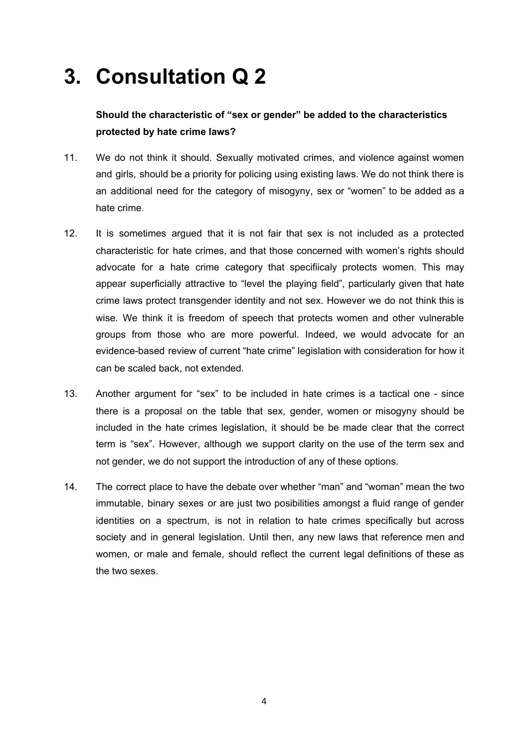# <span id="page-3-0"></span>**3. Consultation Q 2**

#### **Should the characteristic of "sex or gender" be added to the characteristics protected by hate crime laws?**

- 11. We do not think it should. Sexually motivated crimes, and violence against women and girls, should be a priority for policing using existing laws. We do not think there is an additional need for the category of misogyny, sex or "women" to be added as a hate crime.
- 12. It is sometimes argued that it is not fair that sex is not included as a protected characteristic for hate crimes, and that those concerned with women's rights should advocate for a hate crime category that specifiicaly protects women. This may appear superficially attractive to "level the playing field", particularly given that hate crime laws protect transgender identity and not sex. However we do not think this is wise. We think it is freedom of speech that protects women and other vulnerable groups from those who are more powerful. Indeed, we would advocate for an evidence-based review of current "hate crime" legislation with consideration for how it can be scaled back, not extended.
- 13. Another argument for "sex" to be included in hate crimes is a tactical one since there is a proposal on the table that sex, gender, women or misogyny should be included in the hate crimes legislation, it should be be made clear that the correct term is "sex". However, although we support clarity on the use of the term sex and not gender, we do not support the introduction of any of these options.
- 14. The correct place to have the debate over whether "man" and "woman" mean the two immutable, binary sexes or are just two posibilities amongst a fluid range of gender identities on a spectrum, is not in relation to hate crimes specifically but across society and in general legislation. Until then, any new laws that reference men and women, or male and female, should reflect the current legal definitions of these as the two sexes.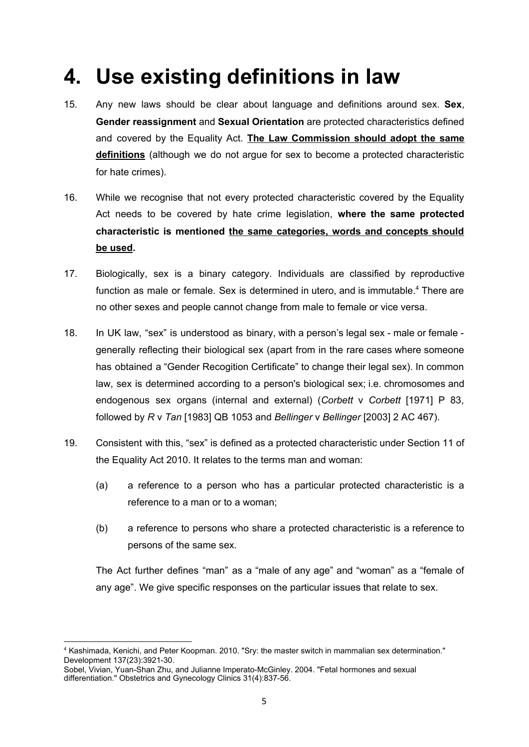# <span id="page-4-0"></span>**4. Use existing definitions in law**

- 15. Any new laws should be clear about language and definitions around sex. **Sex**, **Gender reassignment** and **Sexual Orientation** are protected characteristics defined and covered by the Equality Act. **The Law Commission should adopt the same definitions** (although we do not argue for sex to become a protected characteristic for hate crimes).
- 16. While we recognise that not every protected characteristic covered by the Equality Act needs to be covered by hate crime legislation, **where the same protected characteristic is mentioned the same categories, words and concepts should be used.**
- 17. Biologically, sex is a binary category. Individuals are classified by reproductive function as male or female. Sex is determined in utero, and is immutable. <sup>4</sup> There are no other sexes and people cannot change from male to female or vice versa.
- 18. In UK law, "sex" is understood as binary, with a person's legal sex male or female generally reflecting their biological sex (apart from in the rare cases where someone has obtained a "Gender Recogition Certificate" to change their legal sex). In common law, sex is determined according to a person's biological sex; i.e. chromosomes and endogenous sex organs (internal and external) (*Corbett* v *Corbett* [1971] P 83, followed by *R* v *Tan* [1983] QB 1053 and *Bellinger* v *Bellinger* [2003] 2 AC 467).
- 19. Consistent with this, "sex" is defined as a protected characteristic under [Section](https://www.legislation.gov.uk/ukpga/2010/15/section/11) 11 of the Equality Act 2010. It relates to the terms man and woman:
	- (a) a reference to a person who has a particular protected characteristic is a reference to a man or to a woman;
	- (b) a reference to persons who share a protected characteristic is a reference to persons of the same sex.

The Act further [defines](https://www.legislation.gov.uk/ukpga/2010/15/section/212?view=plain) "man" as a "male of any age" and "woman" as a "female of any age". We give specific responses on the particular issues that relate to sex.

<sup>4</sup> Kashimada, Kenichi, and Peter Koopman. 2010. "Sry: the master switch in mammalian sex determination." Development 137(23):3921-30.

Sobel, Vivian, Yuan-Shan Zhu, and Julianne Imperato-McGinley. 2004. "Fetal hormones and sexual differentiation." Obstetrics and Gynecology Clinics 31(4):837-56.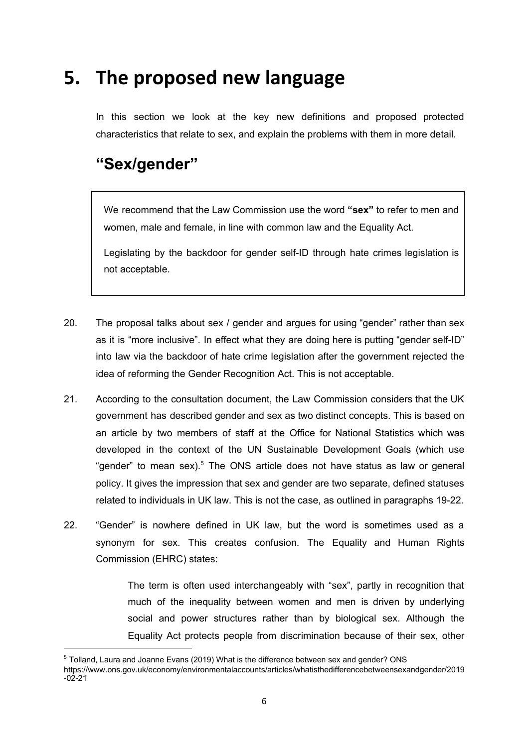# <span id="page-5-0"></span>**5. The proposed new language**

In this section we look at the key new definitions and proposed protected characteristics that relate to sex, and explain the problems with them in more detail.

## <span id="page-5-1"></span>**"Sex/gender"**

We recommend that the Law Commission use the word **"sex"** to refer to men and women, male and female, in line with common law and the Equality Act.

Legislating by the backdoor for gender self-ID through hate crimes legislation is not acceptable.

- 20. The proposal talks about sex / gender and argues for using "gender" rather than sex as it is "more inclusive". In effect what they are doing here is putting "gender self-ID" into law via the backdoor of hate crime legislation after the government rejected the idea of reforming the Gender Recognition Act. This is not acceptable.
- 21. According to the consultation document, the Law Commission considers that the UK government has described gender and sex as two distinct concepts. This is based on an article by two members of staff at the Office for National Statistics which was developed in the context of the UN Sustainable Development Goals (which use "gender" to mean sex).<sup>5</sup> The ONS article does not have status as law or general policy. It gives the impression that sex and gender are two separate, defined statuses related to individuals in UK law. This is not the case, as outlined in paragraphs 19-22.
- 22. "Gender" is nowhere defined in UK law, but the word is sometimes used as a synonym for sex. This creates confusion. The Equality and Human Rights Commission (EHRC) states:

The term is often used interchangeably with "sex", partly in recognition that much of the inequality between women and men is driven by underlying social and power structures rather than by biological sex. Although the Equality Act protects people from discrimination because of their sex, other

<sup>5</sup> Tolland, Laura and Joanne Evans (2019) What is the difference between sex and gender? ONS

https://www.ons.gov.uk/economy/environmentalaccounts/articles/whatisthedifferencebetweensexandgender/2019  $-02-21$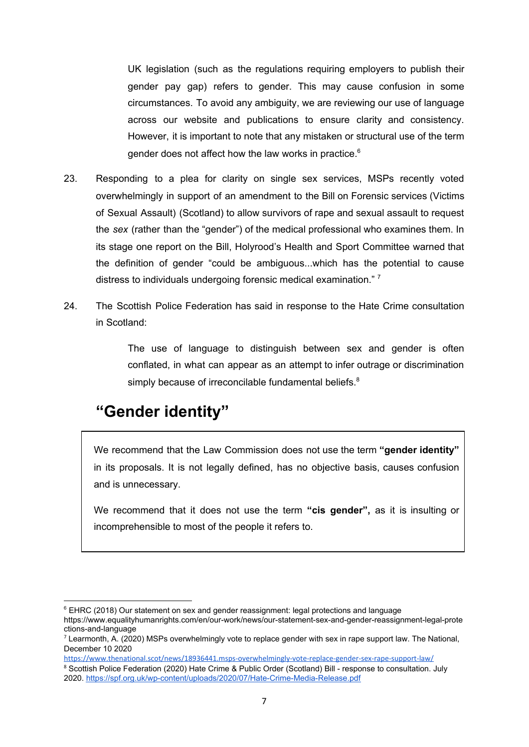UK legislation (such as the regulations requiring employers to publish their gender pay gap) refers to gender. This may cause confusion in some circumstances. To avoid any ambiguity, we are reviewing our use of language across our website and publications to ensure clarity and consistency. However, it is important to note that any mistaken or structural use of the term gender does not affect how the law works in practice. 6

- 23. Responding to a plea for clarity on single sex services, MSPs recently voted overwhelmingly in support of an amendment to the Bill on Forensic services (Victims of Sexual Assault) (Scotland) to allow survivors of rape and sexual assault to request the *sex* (rather than the "gender") of the medical professional who examines them. In its stage one report on the Bill, Holyrood's [Health](https://www.thenational.scot/news/health/) and Sport Committee warned that the definition of gender "could be ambiguous...which has the potential to cause distress to individuals undergoing forensic medical examination."<sup>7</sup>
- 24. The Scottish Police Federation has said in response to the Hate Crime consultation in Scotland:

The use of language to distinguish between sex and gender is often conflated, in what can appear as an attempt to infer outrage or discrimination simply because of irreconcilable fundamental beliefs.<sup>8</sup>

## <span id="page-6-0"></span>**"Gender identity"**

We recommend that the Law Commission does not use the term **"gender identity"** in its proposals. It is not legally defined, has no objective basis, causes confusion and is unnecessary.

We recommend that it does not use the term **"cis gender",** as it is insulting or incomprehensible to most of the people it refers to.

<https://www.thenational.scot/news/18936441.msps-overwhelmingly-vote-replace-gender-sex-rape-support-law/>

<sup>&</sup>lt;sup>6</sup> EHRC (2018) Our statement on sex and gender reassignment: legal protections and language

https://www.equalityhumanrights.com/en/our-work/news/our-statement-sex-and-gender-reassignment-legal-prote ctions-and-language

 $<sup>7</sup>$  [Learmont](https://www.thenational.scot/author/profile/78856.Andrew_Learmonth/)h, A. (2020) MSPs overwhelmingly vote to replace gender with sex in rape support law. The National,</sup> December 10 2020

<sup>&</sup>lt;sup>8</sup> Scottish Police Federation (2020) Hate Crime & Public Order (Scotland) Bill - response to consultation. July 2020.<https://spf.org.uk/wp-content/uploads/2020/07/Hate-Crime-Media-Release.pdf>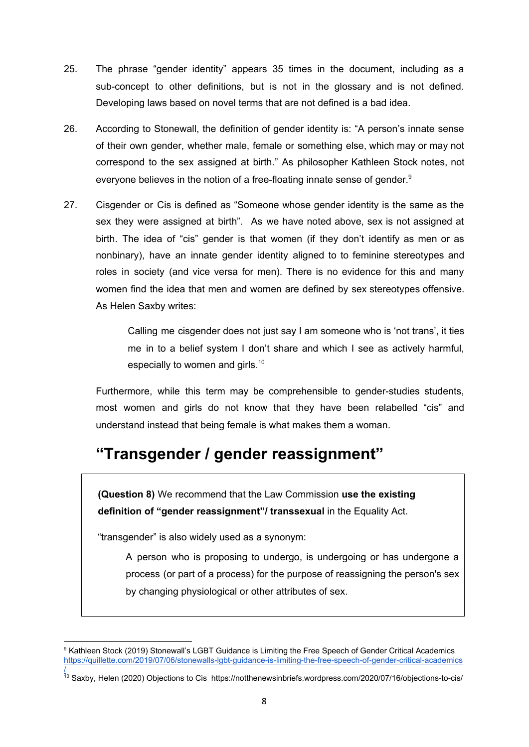- 25. The phrase "gender identity" appears 35 times in the document, including as a sub-concept to other definitions, but is not in the glossary and is not defined. Developing laws based on novel terms that are not defined is a bad idea.
- 26. According to Stonewall, the definition of gender [identity](https://www.stonewall.org.uk/help-advice/glossary-terms#g) is: "A person's innate sense of their own gender, whether male, female or something else, which may or may not correspond to the sex assigned at birth." As philosopher Kathleen Stock notes, not everyone believes in the notion of a free-floating innate sense of gender.<sup>9</sup>
- 27. Cisgender or Cis is defined as "Someone whose gender identity is the same as the sex they were assigned at birth". As we have noted above, sex is not assigned at birth. The idea of "cis" gender is that women (if they don't identify as men or as nonbinary), have an innate gender identity aligned to to feminine stereotypes and roles in society (and vice versa for men). There is no evidence for this and many women find the idea that men and women are defined by sex stereotypes offensive. As Helen Saxby writes:

Calling me cisgender does not just say I am someone who is 'not trans', it ties me in to a belief system I don't share and which I see as actively harmful, especially to women and girls. $10$ 

Furthermore, while this term may be comprehensible to gender-studies students, most women and girls do not know that they have been relabelled "cis" and understand instead that being female is what makes them a woman.

## <span id="page-7-0"></span>**"Transgender / gender reassignment"**

**(Question 8)** We recommend that the Law Commission **use the existing definition of "gender reassignment"/ transsexual** in the Equality Act.

"transgender" is also widely used as a synonym:

A person who is proposing to undergo, is undergoing or has undergone a process (or part of a process) for the purpose of reassigning the person's sex by changing physiological or other attributes of sex.

<sup>&</sup>lt;sup>9</sup> Kathleen Stock (2019) Stonewall's LGBT Guidance is Limiting the Free Speech of Gender Critical Academics [https://quillette.com/2019/07/06/stonewalls-lgbt-guidance-is-limiting-the-free-speech-of-gender-critical-academics](https://quillette.com/2019/07/06/stonewalls-lgbt-guidance-is-limiting-the-free-speech-of-gender-critical-academics/)

[<sup>/</sup>](https://quillette.com/2019/07/06/stonewalls-lgbt-guidance-is-limiting-the-free-speech-of-gender-critical-academics/)<br><sup>10</sup> Saxby, Helen (2020) Objections to Cis https://notthenewsinbriefs.wordpress.com/2020/07/16/objections-to-cis/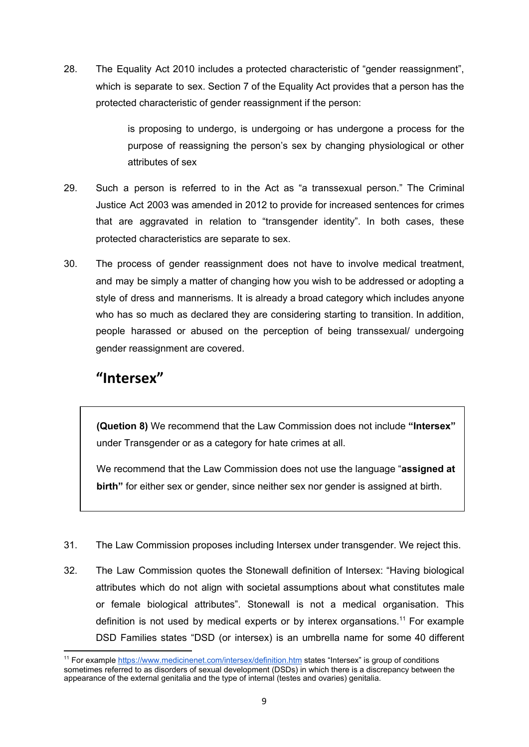28. The Equality Act 2010 includes a protected characteristic of "gender reassignment", which is separate to sex. Section 7 of the Equality Act provides that a person has the protected characteristic of gender reassignment if the person:

> is proposing to undergo, is undergoing or has undergone a process for the purpose of reassigning the person's sex by changing physiological or other attributes of sex

- 29. Such a person is referred to in the Act as "a transsexual person." The Criminal Justice Act 2003 was amended in 2012 to provide for increased sentences for crimes that are aggravated in relation to "transgender identity". In both cases, these protected characteristics are separate to sex.
- 30. The process of gender reassignment does not have to involve medical treatment, and may be simply a matter of changing how you wish to be addressed or adopting a style of dress and mannerisms. It is already a broad category which includes anyone who has so much as declared they are considering starting to transition. In addition, people harassed or abused on the perception of being transsexual/ undergoing gender reassignment are covered.

### **"Intersex"**

**(Quetion 8)** We recommend that the Law Commission does not include **"Intersex"** under Transgender or as a category for hate crimes at all.

We recommend that the Law Commission does not use the language "**assigned at birth"** for either sex or gender, since neither sex nor gender is assigned at birth.

- 31. The Law Commission proposes including Intersex under transgender. We reject this.
- 32. The Law Commission quotes the Stonewall definition of Intersex: "Having biological attributes which do not align with societal assumptions about what constitutes male or female biological attributes". Stonewall is not a medical organisation. This definition is not used by medical experts or by interex organsations.<sup>11</sup> For example DSD Families states "DSD (or intersex) is an umbrella name for some 40 different

<sup>&</sup>lt;sup>11</sup> For example<https://www.medicinenet.com/intersex/definition.htm> states "Intersex" is group of conditions sometimes referred to as disorders of [sexual](https://www.medicinenet.com/sexual_sex_problems_in_men/article.htm) development (DSDs) in which there is a discrepancy between the appearance of the external genitalia and the type of internal (testes and ovaries) genitalia.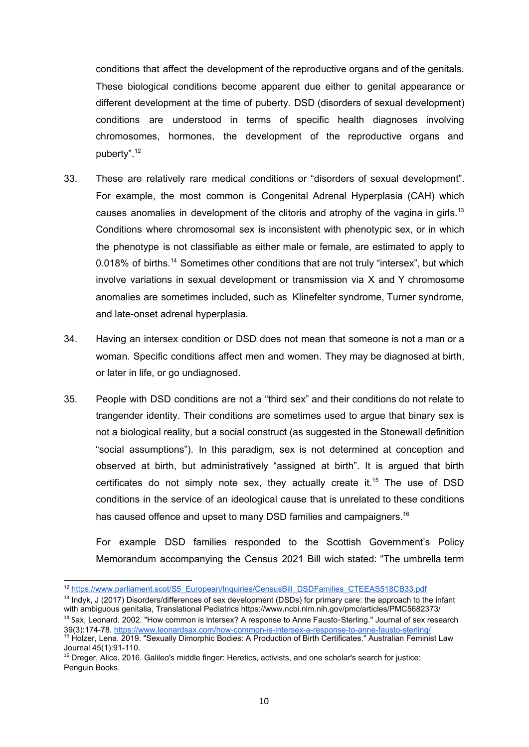conditions that affect the development of the reproductive organs and of the genitals. These biological conditions become apparent due either to genital appearance or different development at the time of puberty. DSD (disorders of sexual development) conditions are understood in terms of specific health diagnoses involving chromosomes, hormones, the development of the reproductive organs and puberty". 12

- 33. These are relatively rare medical conditions or "disorders of sexual development". For example, the most common is Congenital Adrenal Hyperplasia (CAH) which causes anomalies in development of the clitoris and atrophy of the vagina in girls.<sup>13</sup> Conditions where chromosomal sex is inconsistent with phenotypic sex, or in which the phenotype is not classifiable as either male or female, are estimated to apply to 0.018% of births.<sup>14</sup> Sometimes other conditions that are not truly "intersex", but which involve variations in sexual development or transmission via X and Y chromosome anomalies are sometimes included, such as Klinefelter syndrome, Turner syndrome, and late-onset adrenal hyperplasia.
- 34. Having an intersex condition or DSD does not mean that someone is not a man or a woman. Specific conditions affect men and women. They may be diagnosed at birth, or later in life, or go undiagnosed.
- 35. People with DSD conditions are not a "third sex" and their conditions do not relate to trangender identity. Their conditions are sometimes used to argue that binary sex is not a biological reality, but a social construct (as suggested in the Stonewall definition "social assumptions"). In this paradigm, sex is not determined at conception and observed at birth, but administratively "assigned at birth". It is argued that birth certificates do not simply note sex, they actually create it. <sup>15</sup> The use of DSD conditions in the service of an ideological cause that is unrelated to these conditions has caused offence and upset to many DSD families and campaigners.<sup>16</sup>

For example DSD families responded to the Scottish Government's Policy Memorandum accompanying the Census 2021 Bill wich stated: "The umbrella term

<sup>&</sup>lt;sup>12</sup> [https://www.parliament.scot/S5\\_European/Inquiries/CensusBill\\_DSDFamilies\\_CTEEAS518CB33.pdf](https://www.parliament.scot/S5_European/Inquiries/CensusBill_DSDFamilies_CTEEAS518CB33.pdf)

<sup>&</sup>lt;sup>13</sup> Indyk, J (2017) Disorders/differences of sex development (DSDs) for primary care: the approach to the infant with ambiguous genitalia, Translational Pediatrics https://www.ncbi.nlm.nih.gov/pmc/articles/PMC5682373/ <sup>14</sup> Sax, Leonard. 2002. "How common is Intersex? A response to Anne Fausto-Sterling." Journal of sex research 39(3):174-78.<https://www.leonardsax.com/how-common-is-intersex-a-response-to-anne-fausto-sterling/>

<sup>&</sup>lt;sup>15</sup> Holzer, Lena. 2019. "Sexually Dimorphic Bodies: A Production of Birth Certificates." Australian Feminist Law Journal 45(1):91-110.

<sup>&</sup>lt;sup>16</sup> Dreger, Alice. 2016. Galileo's middle finger: Heretics, activists, and one scholar's search for justice: Penguin Books.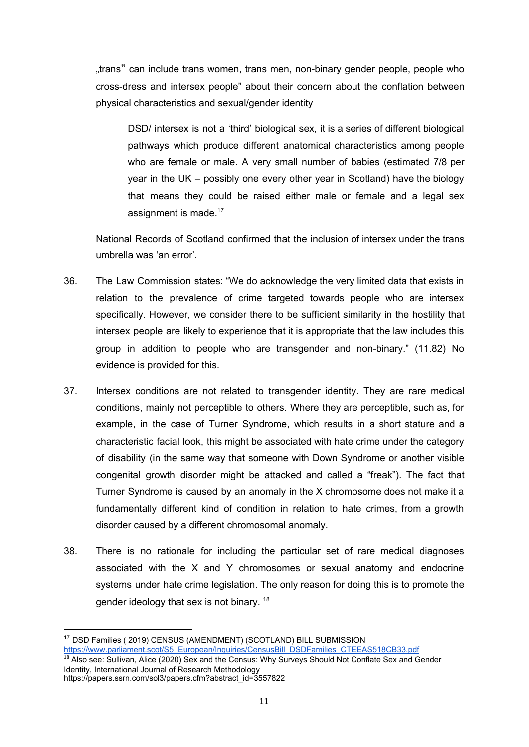"trans" can include trans women, trans men, non-binary gender people, people who cross-dress and intersex people" about their concern about the conflation between physical characteristics and sexual/gender identity

DSD/ intersex is not a 'third' biological sex, it is a series of different biological pathways which produce different anatomical characteristics among people who are female or male. A very small number of babies (estimated 7/8 per year in the UK – possibly one every other year in Scotland) have the biology that means they could be raised either male or female and a legal sex assignment is made.<sup>17</sup>

National Records of Scotland confirmed that the inclusion of intersex under the trans umbrella was 'an error'.

- 36. The Law Commission states: "We do acknowledge the very limited data that exists in relation to the prevalence of crime targeted towards people who are intersex specifically. However, we consider there to be sufficient similarity in the hostility that intersex people are likely to experience that it is appropriate that the law includes this group in addition to people who are transgender and non-binary." (11.82) No evidence is provided for this.
- 37. Intersex conditions are not related to transgender identity. They are rare medical conditions, mainly not perceptible to others. Where they are perceptible, such as, for example, in the case of Turner Syndrome, which results in a short stature and a characteristic facial look, this might be associated with hate crime under the category of disability (in the same way that someone with Down Syndrome or another visible congenital growth disorder might be attacked and called a "freak"). The fact that Turner Syndrome is caused by an anomaly in the X chromosome does not make it a fundamentally different kind of condition in relation to hate crimes, from a growth disorder caused by a different chromosomal anomaly.
- 38. There is no rationale for including the particular set of rare medical diagnoses associated with the X and Y chromosomes or sexual anatomy and endocrine systems under hate crime legislation. The only reason for doing this is to promote the gender ideology that sex is not binary.<sup>18</sup>

Identity, International Journal of Research Methodology https://papers.ssrn.com/sol3/papers.cfm?abstract\_id=3557822

<sup>17</sup> DSD Families ( 2019) CENSUS (AMENDMENT) (SCOTLAND) BILL SUBMISSION

[https://www.parliament.scot/S5\\_European/Inquiries/CensusBill\\_DSDFamilies\\_CTEEAS518CB33.pdf](https://www.parliament.scot/S5_European/Inquiries/CensusBill_DSDFamilies_CTEEAS518CB33.pdf) <sup>18</sup> Also see: Sullivan, Alice (2020) Sex and the Census: Why Surveys Should Not Conflate Sex and Gender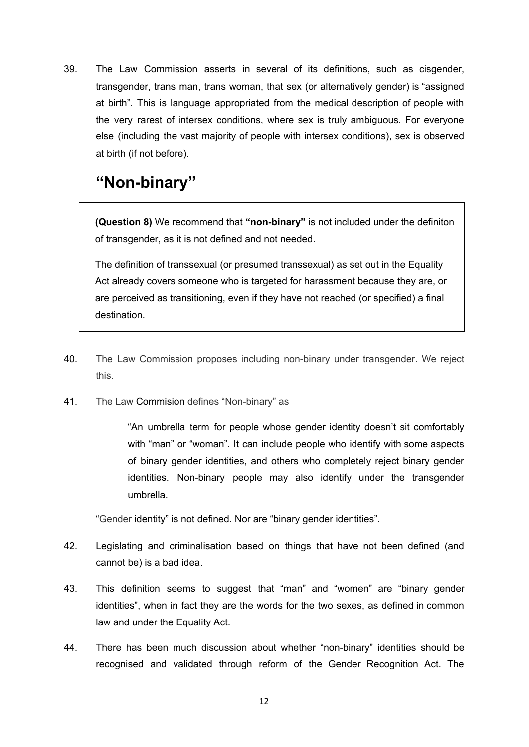39. The Law Commission asserts in several of its definitions, such as cisgender, transgender, trans man, trans woman, that sex (or alternatively gender) is "assigned at birth". This is language appropriated from the medical description of people with the very rarest of intersex conditions, where sex is truly ambiguous. For everyone else (including the vast majority of people with intersex conditions), sex is observed at birth (if not before).

## <span id="page-11-0"></span>**"Non-binary"**

**(Question 8)** We recommend that **"non-binary"** is not included under the definiton of transgender, as it is not defined and not needed.

The definition of transsexual (or presumed transsexual) as set out in the Equality Act already covers someone who is targeted for harassment because they are, or are perceived as transitioning, even if they have not reached (or specified) a final destination.

- 40. The Law Commission proposes including non-binary under transgender. We reject this.
- 41. The Law Commision defines "Non-binary" as

"An umbrella term for people whose gender identity doesn't sit comfortably with "man" or "woman". It can include people who identify with some aspects of binary gender identities, and others who completely reject binary gender identities. Non-binary people may also identify under the transgender umbrella.

"Gender identity" is not defined. Nor are "binary gender identities".

- 42. Legislating and criminalisation based on things that have not been defined (and cannot be) is a bad idea.
- 43. This definition seems to suggest that "man" and "women" are "binary gender identities", when in fact they are the words for the two sexes, as defined in common law and under the Equality Act.
- 44. There has been much discussion about whether "non-binary" identities should be recognised and validated through reform of the Gender Recognition Act. The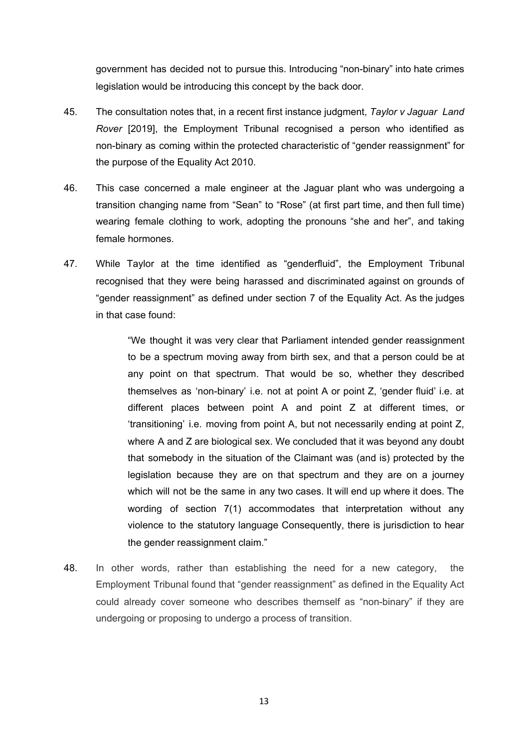government has decided not to pursue this. Introducing "non-binary" into hate crimes legislation would be introducing this concept by the back door.

- 45. The consultation notes that, in a recent first instance judgment, *Taylor v Jaguar Land Rover* [2019], the Employment Tribunal recognised a person who identified as non-binary as coming within the protected characteristic of "gender reassignment" for the purpose of the Equality Act 2010.
- 46. This case concerned a male engineer at the Jaguar plant who was undergoing a transition changing name from "Sean" to "Rose" (at first part time, and then full time) wearing female clothing to work, adopting the pronouns "she and her", and taking female hormones.
- 47. While Taylor at the time identified as "genderfluid", the Employment Tribunal recognised that they were being harassed and discriminated against on grounds of "gender reassignment" as defined under section 7 of the Equality Act. As the judges in that case found:

"We thought it was very clear that Parliament intended gender reassignment to be a spectrum moving away from birth sex, and that a person could be at any point on that spectrum. That would be so, whether they described themselves as 'non-binary' i.e. not at point A or point Z, 'gender fluid' i.e. at different places between point A and point Z at different times, or 'transitioning' i.e. moving from point A, but not necessarily ending at point Z, where A and Z are biological sex. We concluded that it was beyond any doubt that somebody in the situation of the Claimant was (and is) protected by the legislation because they are on that spectrum and they are on a journey which will not be the same in any two cases. It will end up where it does. The wording of section 7(1) accommodates that interpretation without any violence to the statutory language Consequently, there is jurisdiction to hear the gender reassignment claim."

48. In other words, rather than establishing the need for a new category, the Employment Tribunal found that "gender reassignment" as defined in the Equality Act could already cover someone who describes themself as "non-binary" if they are undergoing or proposing to undergo a process of transition.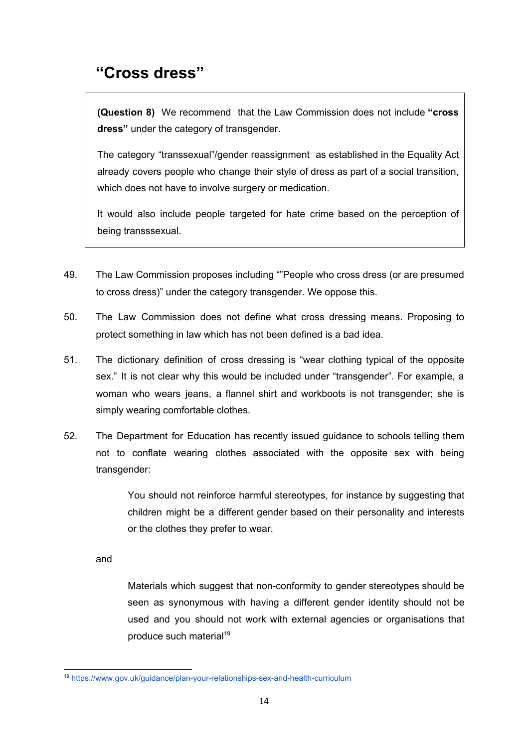## <span id="page-13-0"></span>**"Cross dress"**

**(Question 8)** We recommend that the Law Commission does not include **"cross dress"** under the category of transgender.

The category "transsexual"/gender reassignment as established in the Equality Act already covers people who change their style of dress as part of a social transition, which does not have to involve surgery or medication.

It would also include people targeted for hate crime based on the perception of being transssexual.

- 49. The Law Commission proposes including ""People who cross dress (or are presumed to cross dress)" under the category transgender. We oppose this.
- 50. The Law Commission does not define what cross dressing means. Proposing to protect something in law which has not been defined is a bad idea.
- 51. The dictionary definition of cross dressing is "wear clothing typical of the opposite sex." It is not clear why this would be included under "transgender". For example, a woman who wears jeans, a flannel shirt and workboots is not transgender; she is simply wearing comfortable clothes.
- 52. The Department for Education has recently issued guidance to schools telling them not to conflate wearing clothes associated with the opposite sex with being transgender:

You should not reinforce harmful stereotypes, for instance by suggesting that children might be a different gender based on their personality and interests or the clothes they prefer to wear.

and

Materials which suggest that non-conformity to gender stereotypes should be seen as synonymous with having a different gender identity should not be used and you should not work with external agencies or organisations that produce such material<sup>19</sup>

<sup>19</sup> <https://www.gov.uk/guidance/plan-your-relationships-sex-and-health-curriculum>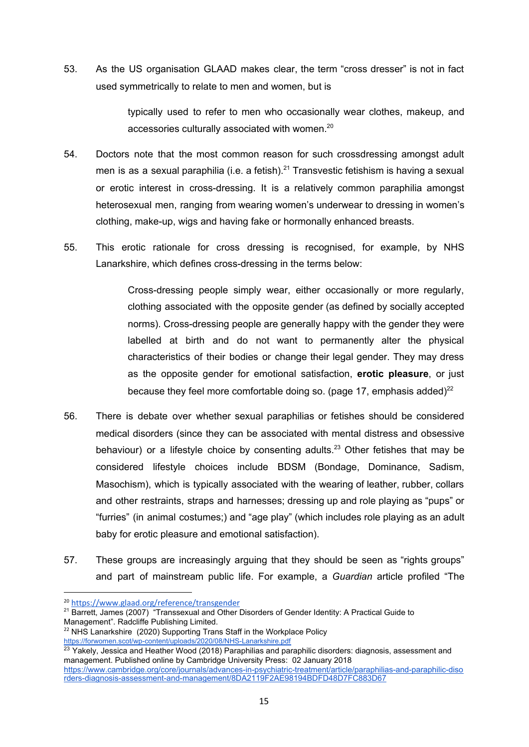53. As the US organisation GLAAD makes clear, the term "cross dresser" is not in fact used symmetrically to relate to men and women, but is

> typically used to refer to men who occasionally wear clothes, makeup, and accessories culturally associated with women.<sup>20</sup>

- 54. Doctors note that the most common reason for such crossdressing amongst adult men is as a sexual paraphilia (i.e. a fetish).<sup>21</sup> Transvestic fetishism is having a sexual or erotic interest in cross-dressing. It is a relatively common paraphilia amongst heterosexual men, ranging from wearing women's underwear to dressing in women's clothing, make-up, wigs and having fake or hormonally enhanced breasts.
- 55. This erotic rationale for cross dressing is recognised, for example, by NHS Lanarkshire, which defines cross-dressing in the terms below:

Cross-dressing people simply wear, either occasionally or more regularly, clothing associated with the opposite gender (as defined by socially accepted norms). Cross-dressing people are generally happy with the gender they were labelled at birth and do not want to permanently alter the physical characteristics of their bodies or change their legal gender. They may dress as the opposite gender for emotional satisfaction, **erotic pleasure**, or just because they feel more comfortable doing so. (page 17, emphasis added) $^{22}$ 

- 56. There is debate over whether sexual paraphilias or fetishes should be considered medical disorders (since they can be associated with mental distress and obsessive behaviour) or a lifestyle choice by consenting adults.<sup>23</sup> Other fetishes that may be considered lifestyle choices include BDSM (Bondage, Dominance, Sadism, Masochism), which is typically associated with the wearing of leather, rubber, collars and other restraints, straps and harnesses; dressing up and role playing as "pups" or "furries" (in animal costumes;) and "age play" (which includes role playing as an adult baby for erotic pleasure and emotional satisfaction).
- 57. These groups are increasingly arguing that they should be seen as "rights groups" and part of mainstream public life. For example, a *Guardian* article profiled "The

<sup>20</sup> <https://www.glaad.org/reference/transgender>

<sup>&</sup>lt;sup>21</sup> Barrett, James (2007) "Transsexual and Other Disorders of Gender Identity: A Practical Guide to

Management". Radcliffe Publishing Limited.

<sup>&</sup>lt;sup>22</sup> NHS Lanarkshire (2020) Supporting Trans Staff in the Workplace Policy <https://forwomen.scot/wp-content/uploads/2020/08/NHS-Lanarkshire.pdf>

<sup>&</sup>lt;sup>23</sup> Yakely, Jessica and Heather Wood (2018) Paraphilias and paraphilic disorders: diagnosis, assessment and management. Published online by Cambridge University Press: 02 January 2018 [https://www.cambridge.org/core/journals/advances-in-psychiatric-treatment/article/paraphilias-and-paraphilic-diso](https://www.cambridge.org/core/journals/advances-in-psychiatric-treatment/article/paraphilias-and-paraphilic-disorders-diagnosis-assessment-and-management/8DA2119F2AE98194BDFD48D7FC883D67) [rders-diagnosis-assessment-and-management/8DA2119F2AE98194BDFD48D7FC883D67](https://www.cambridge.org/core/journals/advances-in-psychiatric-treatment/article/paraphilias-and-paraphilic-disorders-diagnosis-assessment-and-management/8DA2119F2AE98194BDFD48D7FC883D67)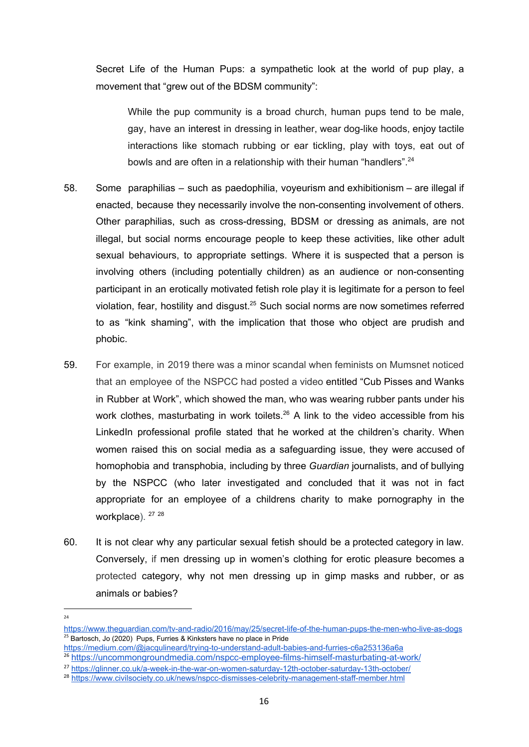Secret Life of the Human Pups: a sympathetic look at the world of pup play, a movement that "grew out of the BDSM community":

While the pup community is a broad church, human pups tend to be male, gay, have an interest in dressing in leather, wear dog-like hoods, enjoy tactile interactions like stomach rubbing or ear tickling, play with toys, eat out of bowls and are often in a relationship with their human "handlers".<sup>24</sup>

- 58. Some paraphilias such as paedophilia, voyeurism and exhibitionism are illegal if enacted, because they necessarily involve the non-consenting involvement of others. Other paraphilias, such as cross-dressing, BDSM or dressing as animals, are not illegal, but social norms encourage people to keep these activities, like other adult sexual behaviours, to appropriate settings. Where it is suspected that a person is involving others (including potentially children) as an audience or non-consenting participant in an erotically motivated fetish role play it is legitimate for a person to feel violation, fear, hostility and disgust.<sup>25</sup> Such social norms are now sometimes referred to as "kink shaming", with the implication that those who object are prudish and phobic.
- 59. For example, in 2019 there was a minor scandal when feminists on Mumsnet noticed that an employee of the NSPCC had posted a video entitled "Cub Pisses and Wanks in Rubber at Work", which showed the man, who was wearing rubber pants under his work clothes, masturbating in work toilets.<sup>26</sup> A link to the video accessible from his LinkedIn professional profile stated that he worked at the children's charity. When women raised this on social media as a safeguarding issue, they were accused of homophobia and transphobia, including by three *Guardian* journalists, and of bullying by the NSPCC (who later investigated and concluded that it was not in fact appropriate for an employee of a childrens charity to make pornography in the workplace). <sup>27 28</sup>
- 60. It is not clear why any particular sexual fetish should be a protected category in law. Conversely, if men dressing up in women's clothing for erotic pleasure becomes a protected category, why not men dressing up in gimp masks and rubber, or as animals or babies?

 $24$ 

<https://www.theguardian.com/tv-and-radio/2016/may/25/secret-life-of-the-human-pups-the-men-who-live-as-dogs> <sup>25</sup> Bartosch, Jo (2020) Pups, Furries & Kinksters have no place in Pride

<https://medium.com/@jacqulineard/trying-to-understand-adult-babies-and-furries-c6a253136a6a>

<sup>26</sup> <https://uncommongroundmedia.com/nspcc-employee-films-himself-masturbating-at-work/>

<sup>&</sup>lt;sup>27</sup> <https://glinner.co.uk/a-week-in-the-war-on-women-saturday-12th-october-saturday-13th-october/>

<sup>&</sup>lt;sup>28</sup> <https://www.civilsociety.co.uk/news/nspcc-dismisses-celebrity-management-staff-member.html>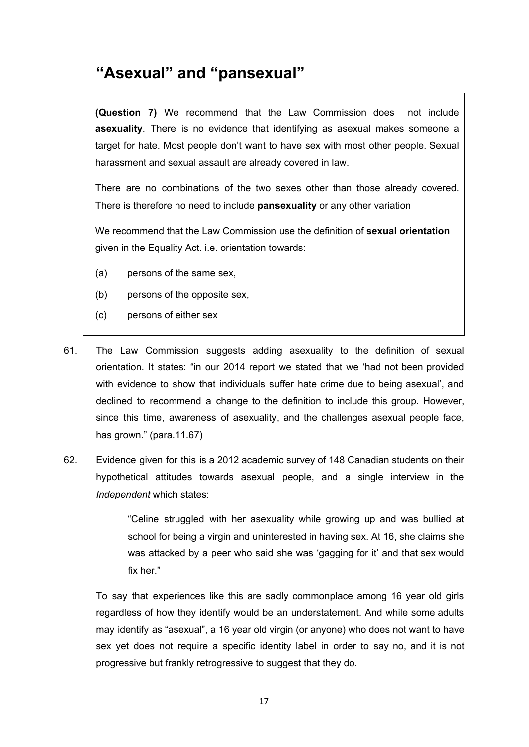## <span id="page-16-0"></span>**"Asexual" and "pansexual"**

**(Question 7)** We recommend that the Law Commission does not include **asexuality**. There is no evidence that identifying as asexual makes someone a target for hate. Most people don't want to have sex with most other people. Sexual harassment and sexual assault are already covered in law.

There are no combinations of the two sexes other than those already covered. There is therefore no need to include **pansexuality** or any other variation

We recommend that the Law Commission use the definition of **sexual orientation** given in the Equality Act. i.e. orientation towards:

- (a) persons of the same sex,
- (b) persons of the opposite sex,
- (c) persons of either sex
- 61. The Law Commission suggests adding asexuality to the definition of sexual orientation. It states: "in our 2014 report we stated that we 'had not been provided with evidence to show that individuals suffer hate crime due to being asexual', and declined to recommend a change to the definition to include this group. However, since this time, awareness of asexuality, and the challenges asexual people face, has grown." (para.11.67)
- 62. Evidence given for this is a 2012 academic survey of 148 Canadian students on their hypothetical attitudes towards asexual people, and a single interview in the *Independent* which states:

"Celine struggled with her asexuality while growing up and was bullied at school for being a virgin and uninterested in having sex. At 16, she claims she was attacked by a peer who said she was 'gagging for it' and that sex would fix her."

To say that experiences like this are sadly commonplace among 16 year old girls regardless of how they identify would be an understatement. And while some adults may identify as "asexual", a 16 year old virgin (or anyone) who does not want to have sex yet does not require a specific identity label in order to say no, and it is not progressive but frankly retrogressive to suggest that they do.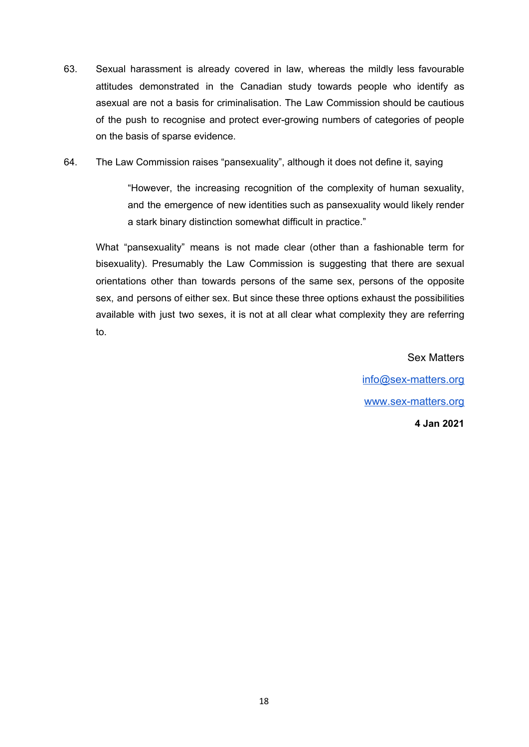- 63. Sexual harassment is already covered in law, whereas the mildly less favourable attitudes demonstrated in the Canadian study towards people who identify as asexual are not a basis for criminalisation. The Law Commission should be cautious of the push to recognise and protect ever-growing numbers of categories of people on the basis of sparse evidence.
- 64. The Law Commission raises "pansexuality", although it does not define it, saying

"However, the increasing recognition of the complexity of human sexuality, and the emergence of new identities such as pansexuality would likely render a stark binary distinction somewhat difficult in practice."

What "pansexuality" means is not made clear (other than a fashionable term for bisexuality). Presumably the Law Commission is suggesting that there are sexual orientations other than towards persons of the same sex, persons of the opposite sex, and persons of either sex. But since these three options exhaust the possibilities available with just two sexes, it is not at all clear what complexity they are referring to.

> Sex Matters [info@sex-matters.org](mailto:info@sex-matters.org) [www.sex-matters.org](http://www.sex-matters.org/) **4 Jan 2021**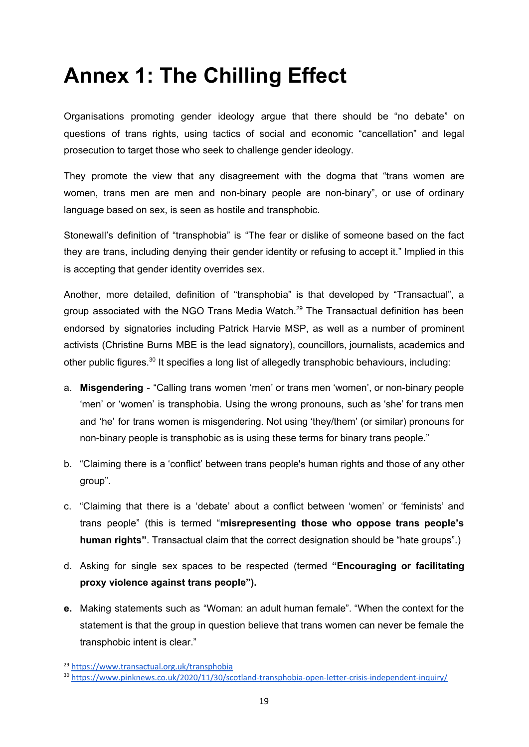# <span id="page-18-0"></span>**Annex 1: The Chilling Effect**

Organisations promoting gender ideology argue that there should be "no debate" on questions of trans rights, using tactics of social and economic "cancellation" and legal prosecution to target those who seek to challenge gender ideology.

They promote the view that any disagreement with the dogma that "trans women are women, trans men are men and non-binary people are non-binary", or use of ordinary language based on sex, is seen as hostile and transphobic.

Stonewall's definition of "transphobia" is "The fear or dislike of someone based on the fact they are trans, including denying their gender identity or refusing to accept it." Implied in this is accepting that gender identity overrides sex.

Another, more detailed, definition of "transphobia" is that developed by "Transactual", a group associated with the NGO Trans Media Watch.<sup>29</sup> The Transactual definition has been endorsed by signatories including Patrick Harvie MSP, as well as a number of prominent activists (Christine Burns MBE is the lead signatory), councillors, journalists, academics and other public figures.<sup>30</sup> It specifies a long list of allegedly transphobic behaviours, including:

- a. **Misgendering** "Calling trans women 'men' or trans men 'women', or non-binary people 'men' or 'women' is transphobia. Using the wrong pronouns, such as 'she' for trans men and 'he' for trans women is misgendering. Not using 'they/them' (or similar) pronouns for non-binary people is transphobic as is using these terms for binary trans people."
- b. "Claiming there is a 'conflict' between trans people's human rights and those of any other group".
- c. "Claiming that there is a 'debate' about a conflict between 'women' or 'feminists' and trans people" (this is termed "**misrepresenting those who oppose trans people's human rights"**. Transactual claim that the correct designation should be "hate groups".)
- d. Asking for single sex spaces to be respected (termed **"Encouraging or facilitating proxy violence against trans people").**
- **e.** Making statements such as "Woman: an adult human female". "When the context for the statement is that the group in question believe that trans women can never be female the transphobic intent is clear."

<sup>29</sup> <https://www.transactual.org.uk/transphobia>

<sup>30</sup> <https://www.pinknews.co.uk/2020/11/30/scotland-transphobia-open-letter-crisis-independent-inquiry/>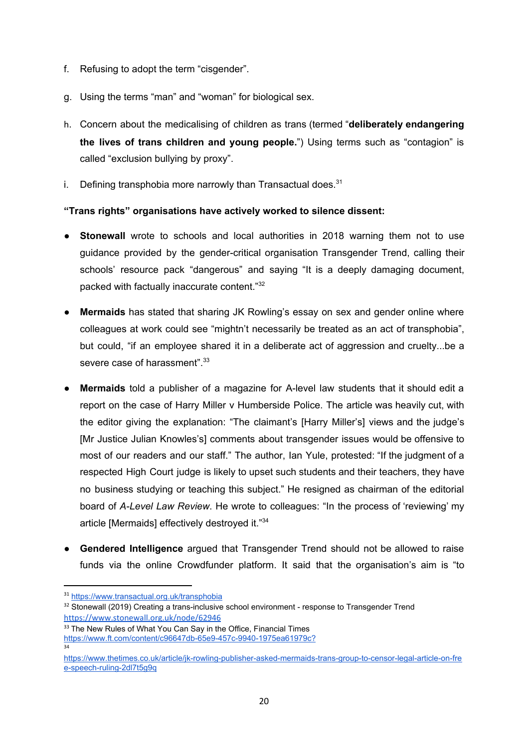- f. Refusing to adopt the term "cisgender".
- g. Using the terms "man" and "woman" for biological sex.
- h. Concern about the medicalising of children as trans (termed "**deliberately endangering the lives of trans children and young people.**") Using terms such as "contagion" is called "exclusion bullying by proxy".
- i. Defining transphobia more narrowly than Transactual does. $31$

#### **"Trans rights" organisations have actively worked to silence dissent:**

- **Stonewall** wrote to schools and local authorities in 2018 warning them not to use guidance provided by the gender-critical organisation Transgender Trend, calling their schools' resource pack "dangerous" and saying "It is a deeply damaging document, packed with factually inaccurate content." 32
- **Mermaids** has stated that sharing JK Rowling's essay on sex and gender online where colleagues at work could see "mightn't necessarily be treated as an act of transphobia", but could, "if an employee shared it in a deliberate act of aggression and cruelty...be a severe case of harassment".<sup>33</sup>
- **Mermaids** told a publisher of a magazine for A-level law students that it should edit a report on the case of Harry Miller v Humberside Police. The article was heavily cut, with the editor giving the explanation: "The claimant's [Harry Miller's] views and the judge's [Mr Justice Julian Knowles's] comments about transgender issues would be offensive to most of our readers and our staff." The author, Ian Yule, protested: "If the judgment of a respected High Court judge is likely to upset such students and their teachers, they have no business studying or teaching this subject." He resigned as chairman of the editorial board of *A-Level Law Review*. He wrote to colleagues: "In the process of 'reviewing' my article [Mermaids] effectively destroyed it."<sup>34</sup>
- **● Gendered Intelligence** argued that Transgender Trend should not be allowed to raise funds via the online Crowdfunder platform. It said that the organisation's aim is "to

34

<sup>33</sup> The New Rules of What You Can Say in the Office, Financial Times [https://www.ft.com/content/c96647db-65e9-457c-9940-1975ea61979c?](https://www.ft.com/content/c96647db-65e9-457c-9940-1975ea61979c?accessToken=zwAAAXOAi-qAkdPJZkfbZelFfNOZQBl16mGXnA.MEYCIQD4Q2Q4UPH5u97RJGxoAYUgZot1xvzz2htEPfPYcGoXWwIhAIvh_uhxrBUATF395_jwV_2lHGlM5rmyKF-rrTPyVGeg&sharetype=gift?token=c08790ec-582f-4b23-ac25-742730f2103b)

<sup>31</sup> <https://www.transactual.org.uk/transphobia>

<sup>&</sup>lt;sup>32</sup> Stonewall (2019) Creating a trans-inclusive school environment - response to Transgender Trend <https://www.stonewall.org.uk/node/62946>

[https://www.thetimes.co.uk/article/jk-rowling-publisher-asked-mermaids-trans-group-to-censor-legal-article-on-fre](https://www.thetimes.co.uk/article/jk-rowling-publisher-asked-mermaids-trans-group-to-censor-legal-article-on-free-speech-ruling-2dl7t5g9q) [e-speech-ruling-2dl7t5g9q](https://www.thetimes.co.uk/article/jk-rowling-publisher-asked-mermaids-trans-group-to-censor-legal-article-on-free-speech-ruling-2dl7t5g9q)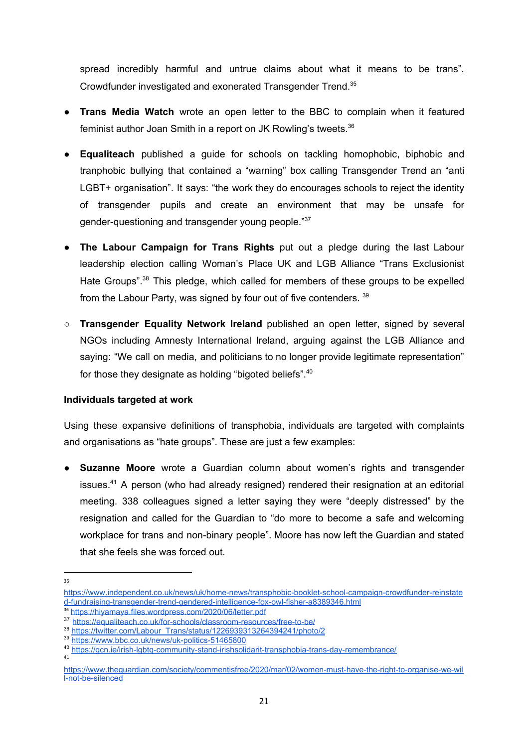spread incredibly harmful and untrue claims about what it means to be trans". Crowdfunder investigated and exonerated Transgender Trend. 35

- **Trans Media Watch** wrote an open letter to the BBC to complain when it featured feminist author Joan Smith in a report on JK Rowling's tweets. 36
- **Equaliteach** published a guide for schools on tackling homophobic, biphobic and tranphobic bullying that contained a "warning" box calling Transgender Trend an "anti LGBT+ organisation". It says: "the work they do encourages schools to reject the identity of transgender pupils and create an environment that may be unsafe for gender-questioning and transgender young people."<sup>37</sup>
- **The Labour Campaign for Trans Rights** put out a pledge during the last Labour leadership election calling Woman's Place UK and LGB Alliance "Trans Exclusionist Hate Groups".<sup>38</sup> This pledge, which called for members of these groups to be expelled from the Labour Party, was signed by four out of five contenders. 39
- **Transgender Equality Network Ireland** published an open letter, signed by several NGOs including Amnesty International Ireland, arguing against the LGB Alliance and saying: "We call on media, and politicians to no longer provide legitimate representation" for those they designate as holding "bigoted beliefs".<sup>40</sup>

#### **Individuals targeted at work**

Using these expansive definitions of transphobia, individuals are targeted with complaints and organisations as "hate groups". These are just a few examples:

● **Suzanne Moore** wrote a Guardian column about women's rights and transgender issues.<sup>41</sup> A person (who had already resigned) rendered their resignation at an editorial meeting. 338 colleagues signed a letter saying they were "deeply distressed" by the resignation and called for the Guardian to "do more to become a safe and welcoming workplace for trans and non-binary people". Moore has now left the Guardian and stated that she feels she was forced out.

41

<sup>35</sup>

[https://www.independent.co.uk/news/uk/home-news/transphobic-booklet-school-campaign-crowdfunder-reinstate](https://www.independent.co.uk/news/uk/home-news/transphobic-booklet-school-campaign-crowdfunder-reinstated-fundraising-transgender-trend-gendered-intelligence-fox-owl-fisher-a8389346.html) [d-fundraising-transgender-trend-gendered-intelligence-fox-owl-fisher-a8389346.html](https://www.independent.co.uk/news/uk/home-news/transphobic-booklet-school-campaign-crowdfunder-reinstated-fundraising-transgender-trend-gendered-intelligence-fox-owl-fisher-a8389346.html)

<sup>36</sup> <https://hiyamaya.files.wordpress.com/2020/06/letter.pdf>

<sup>37</sup> <https://equaliteach.co.uk/for-schools/classroom-resources/free-to-be/>

<sup>38</sup> [https://twitter.com/Labour\\_Trans/status/1226939313264394241/photo/2](https://twitter.com/Labour_Trans/status/1226939313264394241/photo/2)

<sup>39</sup> <https://www.bbc.co.uk/news/uk-politics-51465800>

<sup>40</sup> <https://gcn.ie/irish-lgbtq-community-stand-irishsolidarit-transphobia-trans-day-remembrance/>

[https://www.theguardian.com/society/commentisfree/2020/mar/02/women-must-have-the-right-to-organise-we-wil](https://www.theguardian.com/society/commentisfree/2020/mar/02/women-must-have-the-right-to-organise-we-will-not-be-silenced) [l-not-be-silenced](https://www.theguardian.com/society/commentisfree/2020/mar/02/women-must-have-the-right-to-organise-we-will-not-be-silenced)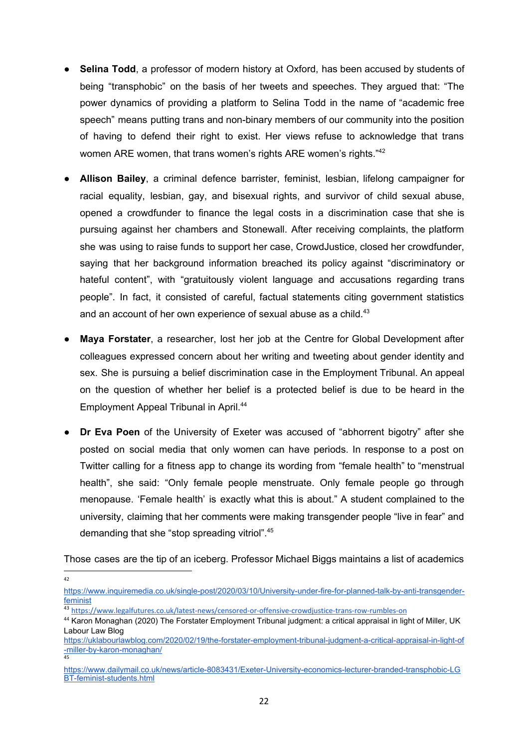- **Selina Todd**, a professor of modern history at Oxford, has been accused by students of being "transphobic" on the basis of her tweets and speeches. They argued that: "The power dynamics of providing a platform to Selina Todd in the name of "academic free speech" means putting trans and non-binary members of our community into the position of having to defend their right to exist. Her views refuse to acknowledge that trans women ARE women, that trans women's rights ARE women's rights."<sup>42</sup>
- **Allison Bailey**, a criminal defence barrister, feminist, lesbian, lifelong campaigner for racial equality, lesbian, gay, and bisexual rights, and survivor of child sexual abuse, opened a crowdfunder to finance the legal costs in a discrimination case that she is pursuing against her chambers and Stonewall. After receiving complaints, the platform she was using to raise funds to support her case, CrowdJustice, closed her crowdfunder, saying that her background information breached its policy against "discriminatory or hateful content", with "gratuitously violent language and accusations regarding trans people". In fact, it consisted of careful, factual statements citing government statistics and an account of her own experience of sexual abuse as a child.<sup>43</sup>
- **Maya Forstater**, a researcher, lost her job at the Centre for Global Development after colleagues expressed concern about her writing and tweeting about gender identity and sex. She is pursuing a belief discrimination case in the Employment Tribunal. An appeal on the question of whether her belief is a protected belief is due to be heard in the Employment Appeal Tribunal in April. 44
- **Dr Eva Poen** of the University of Exeter was accused of "abhorrent bigotry" after she posted on social media that only women can have periods. In response to a post on Twitter calling for a fitness app to change its wording from "female health" to "menstrual health", she said: "Only female people menstruate. Only female people go through menopause. 'Female health' is exactly what this is about." A student complained to the university, claiming that her comments were making transgender people "live in fear" and demanding that she "stop spreading vitriol". 45

Those cases are the tip of an iceberg. Professor Michael Biggs maintains a list of academics

42

[https://www.inquiremedia.co.uk/single-post/2020/03/10/University-under-fire-for-planned-talk-by-anti-transgender](https://www.inquiremedia.co.uk/single-post/2020/03/10/University-under-fire-for-planned-talk-by-anti-transgender-feminist)[feminist](https://www.inquiremedia.co.uk/single-post/2020/03/10/University-under-fire-for-planned-talk-by-anti-transgender-feminist)

<sup>43</sup> <https://www.legalfutures.co.uk/latest-news/censored-or-offensive-crowdjustice-trans-row-rumbles-on>

<sup>44</sup> Karon Monaghan (2020) The Forstater Employment Tribunal judgment: a critical appraisal in light of Miller, UK Labour Law Blog

[https://uklabourlawblog.com/2020/02/19/the-forstater-employment-tribunal-judgment-a-critical-appraisal-in-light-of](https://uklabourlawblog.com/2020/02/19/the-forstater-employment-tribunal-judgment-a-critical-appraisal-in-light-of-miller-by-karon-monaghan/) [-miller-by-karon-monaghan/](https://uklabourlawblog.com/2020/02/19/the-forstater-employment-tribunal-judgment-a-critical-appraisal-in-light-of-miller-by-karon-monaghan/) 45

[https://www.dailymail.co.uk/news/article-8083431/Exeter-University-economics-lecturer-branded-transphobic-LG](https://www.dailymail.co.uk/news/article-8083431/Exeter-University-economics-lecturer-branded-transphobic-LGBT-feminist-students.html) [BT-feminist-students.html](https://www.dailymail.co.uk/news/article-8083431/Exeter-University-economics-lecturer-branded-transphobic-LGBT-feminist-students.html)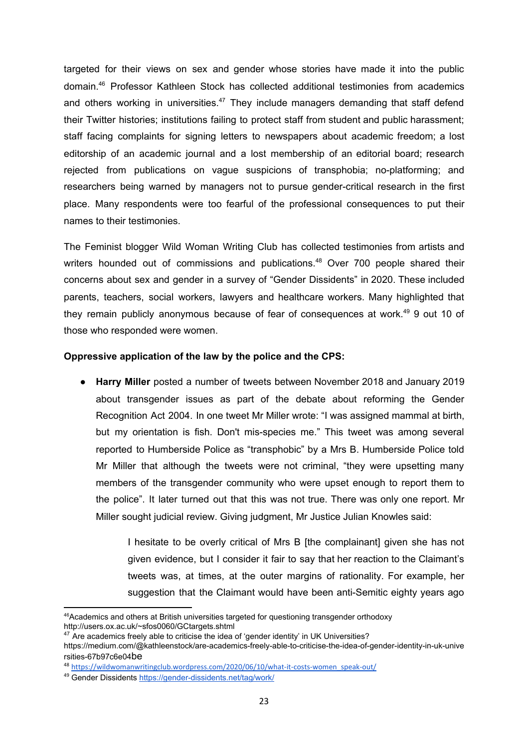targeted for their views on sex and gender whose stories have made it into the public domain. <sup>46</sup> Professor Kathleen Stock has collected additional testimonies from academics and others working in universities.<sup>47</sup> They include managers demanding that staff defend their Twitter histories; institutions failing to protect staff from student and public harassment; staff facing complaints for signing letters to newspapers about academic freedom; a lost editorship of an academic journal and a lost membership of an editorial board; research rejected from publications on vague suspicions of transphobia; no-platforming; and researchers being warned by managers not to pursue gender-critical research in the first place. Many respondents were too fearful of the professional consequences to put their names to their testimonies.

The Feminist blogger Wild Woman Writing Club has collected testimonies from artists and writers hounded out of commissions and publications.<sup>48</sup> Over 700 people shared their concerns about sex and gender in a survey of "Gender Dissidents" in 2020. These included parents, teachers, social workers, lawyers and healthcare workers. Many highlighted that they remain publicly anonymous because of fear of consequences at work.<sup>49</sup> 9 out 10 of those who responded were women.

#### **Oppressive application of the law by the police and the CPS:**

● **Harry Miller** posted a number of tweets between November 2018 and January 2019 about transgender issues as part of the debate about reforming the Gender Recognition Act 2004. In one tweet Mr Miller wrote: "I was assigned mammal at birth, but my orientation is fish. Don't mis-species me." This tweet was among several reported to Humberside Police as "transphobic" by a Mrs B. Humberside Police told Mr Miller that although the tweets were not criminal, "they were upsetting many members of the transgender community who were upset enough to report them to the police". It later turned out that this was not true. There was only one report. Mr Miller sought judicial review. Giving judgment, Mr Justice Julian Knowles said:

> I hesitate to be overly critical of Mrs B [the complainant] given she has not given evidence, but I consider it fair to say that her reaction to the Claimant's tweets was, at times, at the outer margins of rationality. For example, her suggestion that the Claimant would have been anti-Semitic eighty years ago

<sup>&</sup>lt;sup>46</sup>Academics and others at British universities targeted for questioning transgender orthodoxy <http://users.ox.ac.uk/~sfos0060/GCtargets.shtml>

 $47$  Are academics freely able to criticise the idea of 'gender identity' in UK Universities?

[https://medium.com/@kathleenstock/are-academics-freely-able-to-criticise-the-idea-of-gender-identity-in-uk-unive](https://medium.com/@kathleenstock/are-academics-freely-able-to-criticise-the-idea-of-gender-identity-in-uk-universities-67b97c6e04be) [rsities-67b97c6e04](https://medium.com/@kathleenstock/are-academics-freely-able-to-criticise-the-idea-of-gender-identity-in-uk-universities-67b97c6e04be)be

<sup>48</sup> [https://wildwomanwritingclub.wordpress.com/2020/06/10/what-it-costs-women\\_speak-out/](https://wildwomanwritingclub.wordpress.com/2020/06/10/what-it-costs-women_speak-out/)

<sup>49</sup> Gender Dissidents <https://gender-dissidents.net/tag/work/>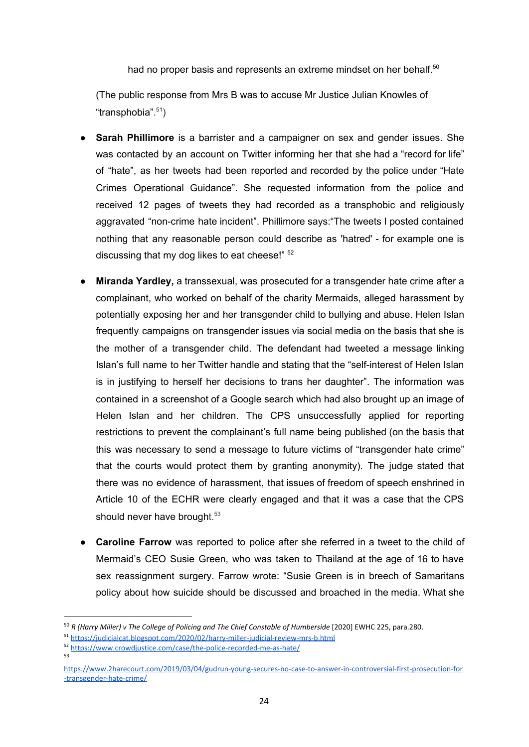had no proper basis and represents an extreme mindset on her behalf.<sup>50</sup>

(The public response from Mrs B was to accuse Mr Justice Julian Knowles of "transphobia". 51 )

- **Sarah Phillimore** is a barrister and a campaigner on sex and gender issues. She was contacted by an account on Twitter informing her that she had a "record for life" of "hate", as her tweets had been reported and recorded by the police under "Hate Crimes Operational Guidance". She requested information from the police and received 12 pages of tweets they had recorded as a transphobic and religiously aggravated "non-crime hate incident". Phillimore says:"The tweets I posted contained nothing that any reasonable person could describe as 'hatred' - for example one is discussing that my dog likes to eat cheese!" <sup>52</sup>
- **Miranda Yardley,** a transsexual, was prosecuted for a transgender hate crime after a complainant, who worked on behalf of the charity Mermaids, alleged harassment by potentially exposing her and her transgender child to bullying and abuse. Helen Islan frequently campaigns on transgender issues via social media on the basis that she is the mother of a transgender child. The defendant had tweeted a message linking Islan's full name to her Twitter handle and stating that the "self-interest of Helen Islan is in justifying to herself her decisions to trans her daughter". The information was contained in a screenshot of a Google search which had also brought up an image of Helen Islan and her children. The CPS unsuccessfully applied for reporting restrictions to prevent the complainant's full name being published (on the basis that this was necessary to send a message to future victims of "transgender hate crime" that the courts would protect them by granting anonymity). The judge stated that there was no evidence of harassment, that issues of freedom of speech enshrined in Article 10 of the ECHR were clearly engaged and that it was a case that the CPS should never have brought.<sup>53</sup>
- **Caroline Farrow** was reported to police after she referred in a tweet to the child of Mermaid's CEO Susie Green, who was taken to Thailand at the age of 16 to have sex reassignment surgery. Farrow wrote: "Susie Green is in breech of Samaritans policy about how suicide should be discussed and broached in the media. What she

<sup>&</sup>lt;sup>50</sup> R (Harry Miller) v The College of Policing and The Chief Constable of Humberside [2020] EWHC 225, para.280.

<sup>51</sup> <https://judicialcat.blogspot.com/2020/02/harry-miller-judicial-review-mrs-b.html>

<sup>52</sup> <https://www.crowdjustice.com/case/the-police-recorded-me-as-hate/> 53

[https://www.2harecourt.com/2019/03/04/gudrun-young-secures-no-case-to-answer-in-controversial-first-prosecution-for](https://www.2harecourt.com/2019/03/04/gudrun-young-secures-no-case-to-answer-in-controversial-first-prosecution-for-transgender-hate-crime/) [-transgender-hate-crime/](https://www.2harecourt.com/2019/03/04/gudrun-young-secures-no-case-to-answer-in-controversial-first-prosecution-for-transgender-hate-crime/)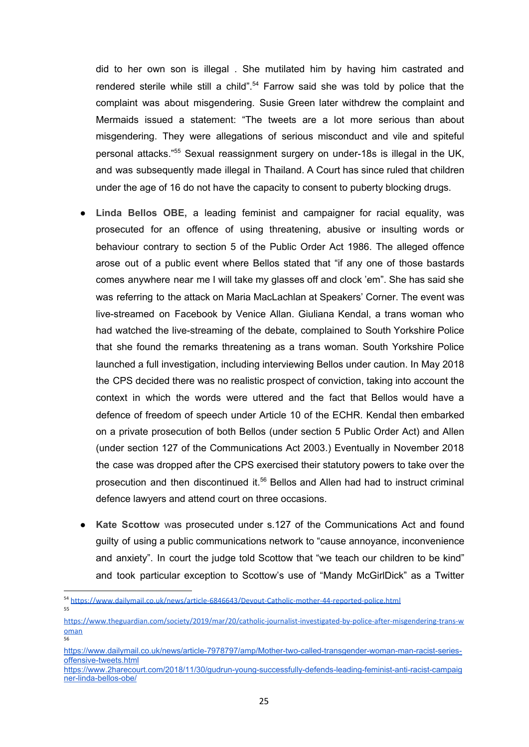did to her own son is illegal . She mutilated him by having him castrated and rendered sterile while still a child".<sup>54</sup> Farrow said she was told by police that the complaint was about misgendering. Susie Green later withdrew the complaint and Mermaids issued a statement: "The tweets are a lot more serious than about misgendering. They were allegations of serious misconduct and vile and spiteful personal attacks." <sup>55</sup> Sexual reassignment surgery on under-18s is illegal in the UK, and was subsequently made illegal in Thailand. A Court has since ruled that children under the age of 16 do not have the capacity to consent to puberty blocking drugs.

- **Linda Bellos OBE,** a leading feminist and campaigner for racial equality, was prosecuted for an offence of using threatening, abusive or insulting words or behaviour contrary to section 5 of the Public Order Act 1986. The alleged offence arose out of a public event where Bellos stated that "if any one of those bastards comes anywhere near me I will take my glasses off and clock 'em". She has said she was referring to the attack on Maria MacLachlan at Speakers' Corner. The event was live-streamed on Facebook by Venice Allan. Giuliana Kendal, a trans woman who had watched the live-streaming of the debate, complained to South Yorkshire Police that she found the remarks threatening as a trans woman. South Yorkshire Police launched a full investigation, including interviewing Bellos under caution. In May 2018 the CPS decided there was no realistic prospect of conviction, taking into account the context in which the words were uttered and the fact that Bellos would have a defence of freedom of speech under Article 10 of the ECHR. Kendal then embarked on a private prosecution of both Bellos (under section 5 Public Order Act) and Allen (under section 127 of the Communications Act 2003.) Eventually in November 2018 the case was dropped after the CPS exercised their statutory powers to take over the prosecution and then discontinued it. <sup>56</sup> Bellos and Allen had had to instruct criminal defence lawyers and attend court on three occasions.
- **Kate Scottow** was prosecuted under s.127 of the Communications Act and found guilty of using a public communications network to "cause annoyance, inconvenience and anxiety". In court the judge told Scottow that "we teach our children to be kind" and took particular exception to Scottow's use of "Mandy McGirlDick" as a Twitter

<sup>54</sup> <https://www.dailymail.co.uk/news/article-6846643/Devout-Catholic-mother-44-reported-police.html> 55

[https://www.theguardian.com/society/2019/mar/20/catholic-journalist-investigated-by-police-after-misgendering-trans-w](https://www.theguardian.com/society/2019/mar/20/catholic-journalist-investigated-by-police-after-misgendering-trans-woman) [oman](https://www.theguardian.com/society/2019/mar/20/catholic-journalist-investigated-by-police-after-misgendering-trans-woman) 56

[https://www.dailymail.co.uk/news/article-7978797/amp/Mother-two-called-transgender-woman-man-racist-series](https://www.dailymail.co.uk/news/article-7978797/amp/Mother-two-called-transgender-woman-man-racist-series-offensive-tweets.html)[offensive-tweets.html](https://www.dailymail.co.uk/news/article-7978797/amp/Mother-two-called-transgender-woman-man-racist-series-offensive-tweets.html)

[https://www.2harecourt.com/2018/11/30/gudrun-young-successfully-defends-leading-feminist-anti-racist-campaig](https://www.2harecourt.com/2018/11/30/gudrun-young-successfully-defends-leading-feminist-anti-racist-campaigner-linda-bellos-obe/) [ner-linda-bellos-obe/](https://www.2harecourt.com/2018/11/30/gudrun-young-successfully-defends-leading-feminist-anti-racist-campaigner-linda-bellos-obe/)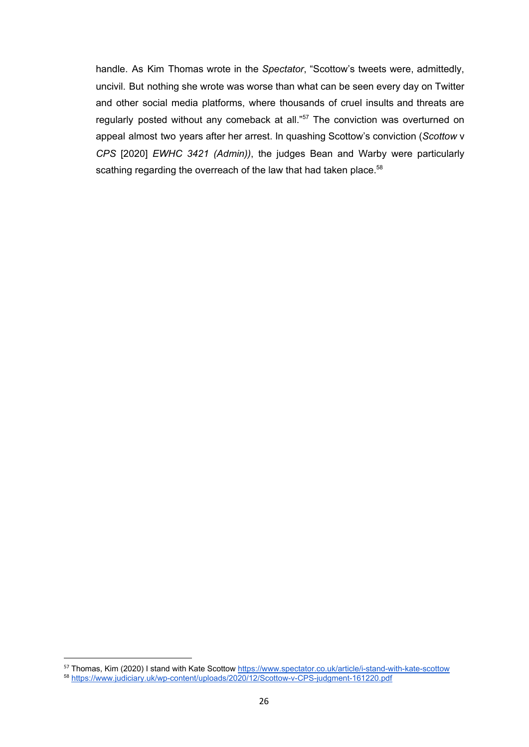handle. As Kim Thomas wrote in the *Spectator*, "Scottow's tweets were, admittedly, uncivil. But nothing she wrote was worse than what can be seen every day on Twitter and other social media platforms, where thousands of cruel insults and threats are regularly posted without any comeback at all."<sup>57</sup> The conviction was overturned on appeal almost two years after her arrest. In quashing Scottow's conviction (*Scottow* v *CPS* [2020] *EWHC 3421 (Admin))*, the judges Bean and Warby were particularly scathing regarding the overreach of the law that had taken place.<sup>58</sup>

<sup>57</sup> Thomas, Kim (2020) I stand with Kate Scottow <https://www.spectator.co.uk/article/i-stand-with-kate-scottow> <sup>58</sup> <https://www.judiciary.uk/wp-content/uploads/2020/12/Scottow-v-CPS-judgment-161220.pdf>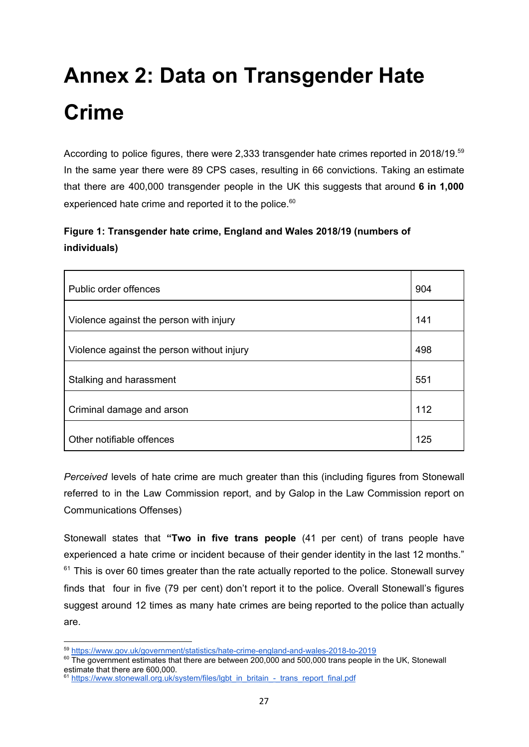# <span id="page-26-0"></span>**Annex 2: Data on Transgender Hate Crime**

According to police figures, there were 2,333 transgender hate crimes reported in 2018/19.<sup>59</sup> In the same year there were 89 CPS cases, resulting in 66 convictions. Taking an estimate that there are 400,000 transgender people in the UK this suggests that around **6 in 1,000** experienced hate crime and reported it to the police.<sup>60</sup>

#### **Figure 1: Transgender hate crime, England and Wales 2018/19 (numbers of individuals)**

| Public order offences                      | 904 |
|--------------------------------------------|-----|
| Violence against the person with injury    | 141 |
| Violence against the person without injury | 498 |
| Stalking and harassment                    | 551 |
| Criminal damage and arson                  | 112 |
| Other notifiable offences                  | 125 |

*Perceived* levels of hate crime are much greater than this (including figures from Stonewall referred to in the Law Commission report, and by Galop in the Law Commission report on Communications Offenses)

Stonewall states that **"Two in five trans people** (41 per cent) of trans people have experienced a hate crime or incident because of their gender identity in the last 12 months."  $61$  This is over 60 times greater than the rate actually reported to the police. Stonewall survey finds that four in five (79 per cent) don't report it to the police. Overall Stonewall's figures suggest around 12 times as many hate crimes are being reported to the police than actually are.

<sup>59</sup> <https://www.gov.uk/government/statistics/hate-crime-england-and-wales-2018-to-2019>

 $^{60}$  The government estimates that there are between 200,000 and 500,000 trans people in the UK, Stonewall estimate that there are 600,000.

<sup>&</sup>lt;sup>61</sup> [https://www.stonewall.org.uk/system/files/lgbt\\_in\\_britain\\_-\\_trans\\_report\\_final.pdf](https://www.stonewall.org.uk/system/files/lgbt_in_britain_-_trans_report_final.pdf)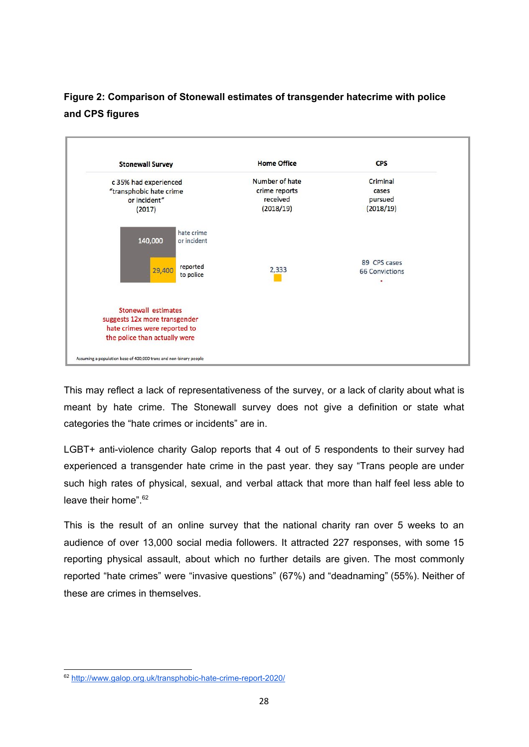#### **Figure 2: Comparison of Stonewall estimates of transgender hatecrime with police and CPS figures**



This may reflect a lack of representativeness of the survey, or a lack of clarity about what is meant by hate crime. The Stonewall survey does not give a definition or state what categories the "hate crimes or incidents" are in.

LGBT+ anti-violence charity Galop reports that 4 out of 5 respondents to their survey had experienced a transgender hate crime in the past year. they say "Trans people are under such high rates of physical, sexual, and verbal attack that more than half feel less able to leave their home".<sup>62</sup>

This is the result of an online survey that the national charity ran over 5 weeks to an audience of over 13,000 social media followers. It attracted 227 responses, with some 15 reporting physical assault, about which no further details are given. The most commonly reported "hate crimes" were "invasive questions" (67%) and "deadnaming" (55%). Neither of these are crimes in themselves.

<sup>62</sup> <http://www.galop.org.uk/transphobic-hate-crime-report-2020/>